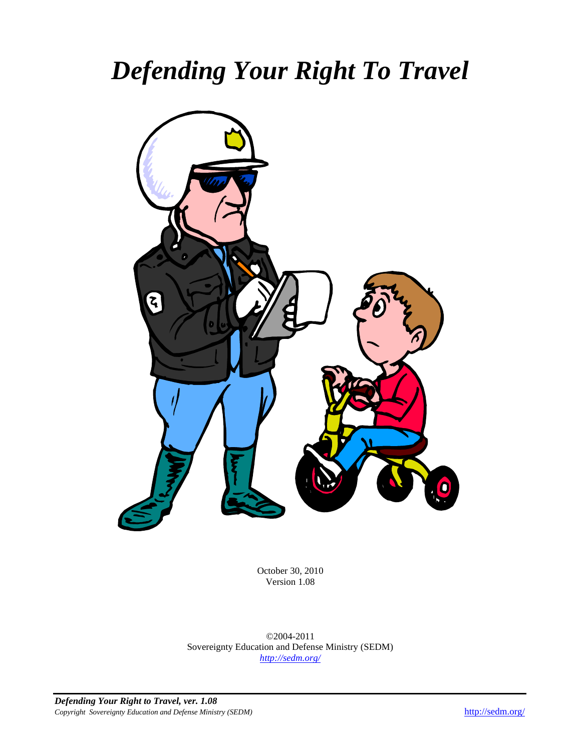# *Defending Your Right To Travel*



October 30, 2010 Version 1.08

©2004-2011 Sovereignty Education and Defense Ministry (SEDM) *<http://sedm.org/>*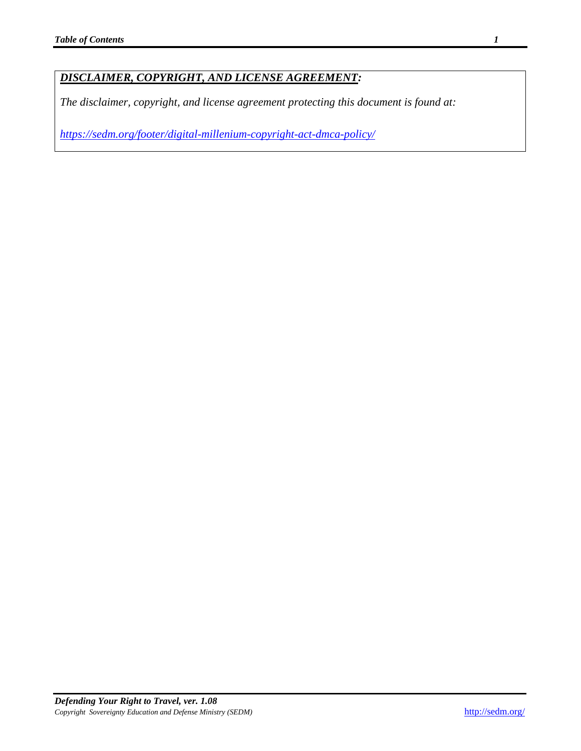### *DISCLAIMER, COPYRIGHT, AND LICENSE AGREEMENT:*

*The disclaimer, copyright, and license agreement protecting this document is found at:*

*<https://sedm.org/footer/digital-millenium-copyright-act-dmca-policy/>*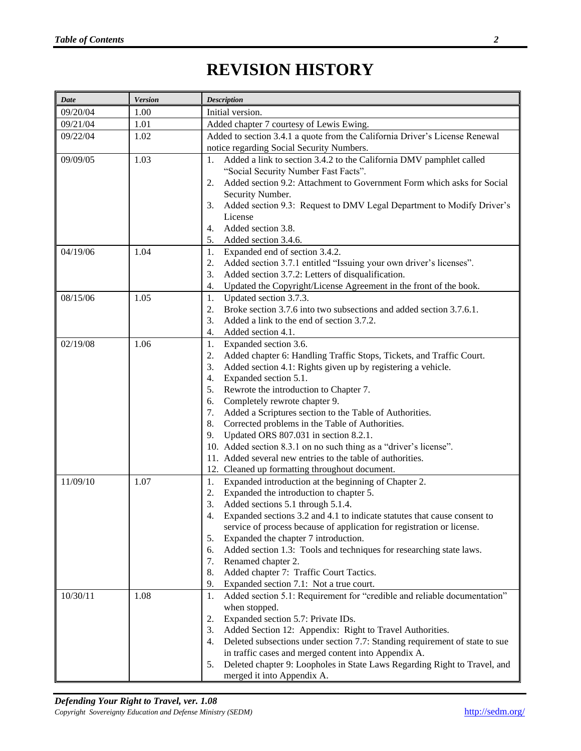# **REVISION HISTORY**

<span id="page-2-0"></span>

| <b>Date</b> | <b>Version</b> | <b>Description</b>                                                                                                                                                                                                                                                                                                                                                                                                                                                                                                                                                                                                                                                  |
|-------------|----------------|---------------------------------------------------------------------------------------------------------------------------------------------------------------------------------------------------------------------------------------------------------------------------------------------------------------------------------------------------------------------------------------------------------------------------------------------------------------------------------------------------------------------------------------------------------------------------------------------------------------------------------------------------------------------|
| 09/20/04    | 1.00           | Initial version.                                                                                                                                                                                                                                                                                                                                                                                                                                                                                                                                                                                                                                                    |
| 09/21/04    | 1.01           | Added chapter 7 courtesy of Lewis Ewing.                                                                                                                                                                                                                                                                                                                                                                                                                                                                                                                                                                                                                            |
| 09/22/04    | 1.02           | Added to section 3.4.1 a quote from the California Driver's License Renewal                                                                                                                                                                                                                                                                                                                                                                                                                                                                                                                                                                                         |
|             |                | notice regarding Social Security Numbers.                                                                                                                                                                                                                                                                                                                                                                                                                                                                                                                                                                                                                           |
| 09/09/05    | 1.03           | Added a link to section 3.4.2 to the California DMV pamphlet called<br>1.<br>"Social Security Number Fast Facts".<br>Added section 9.2: Attachment to Government Form which asks for Social<br>2.<br>Security Number.<br>Added section 9.3: Request to DMV Legal Department to Modify Driver's<br>3.<br>License<br>Added section 3.8.<br>4.<br>Added section 3.4.6.<br>5.                                                                                                                                                                                                                                                                                           |
| 04/19/06    | 1.04           | Expanded end of section 3.4.2.<br>1.<br>Added section 3.7.1 entitled "Issuing your own driver's licenses".<br>2.<br>Added section 3.7.2: Letters of disqualification.<br>3.<br>Updated the Copyright/License Agreement in the front of the book.<br>4.                                                                                                                                                                                                                                                                                                                                                                                                              |
| 08/15/06    | 1.05           | Updated section 3.7.3.<br>1.<br>Broke section 3.7.6 into two subsections and added section 3.7.6.1.<br>2.<br>Added a link to the end of section 3.7.2.<br>3.<br>Added section 4.1.<br>4.                                                                                                                                                                                                                                                                                                                                                                                                                                                                            |
| 02/19/08    | 1.06           | Expanded section 3.6.<br>1.<br>Added chapter 6: Handling Traffic Stops, Tickets, and Traffic Court.<br>2.<br>Added section 4.1: Rights given up by registering a vehicle.<br>3.<br>Expanded section 5.1.<br>4.<br>Rewrote the introduction to Chapter 7.<br>5.<br>Completely rewrote chapter 9.<br>6.<br>Added a Scriptures section to the Table of Authorities.<br>7.<br>Corrected problems in the Table of Authorities.<br>8.<br>Updated ORS 807.031 in section 8.2.1.<br>9.<br>10. Added section 8.3.1 on no such thing as a "driver's license".<br>11. Added several new entries to the table of authorities.<br>12. Cleaned up formatting throughout document. |
| 11/09/10    | 1.07           | Expanded introduction at the beginning of Chapter 2.<br>1.<br>Expanded the introduction to chapter 5.<br>2.<br>Added sections 5.1 through 5.1.4.<br>3.<br>Expanded sections 3.2 and 4.1 to indicate statutes that cause consent to<br>4.<br>service of process because of application for registration or license.<br>Expanded the chapter 7 introduction.<br>5.<br>Added section 1.3: Tools and techniques for researching state laws.<br>6.<br>7.<br>Renamed chapter 2.<br>8.<br>Added chapter 7: Traffic Court Tactics.<br>9.<br>Expanded section 7.1: Not a true court.                                                                                         |
| 10/30/11    | 1.08           | Added section 5.1: Requirement for "credible and reliable documentation"<br>1.<br>when stopped.<br>Expanded section 5.7: Private IDs.<br>2.<br>Added Section 12: Appendix: Right to Travel Authorities.<br>3.<br>Deleted subsections under section 7.7: Standing requirement of state to sue<br>4.<br>in traffic cases and merged content into Appendix A.<br>Deleted chapter 9: Loopholes in State Laws Regarding Right to Travel, and<br>5.<br>merged it into Appendix A.                                                                                                                                                                                         |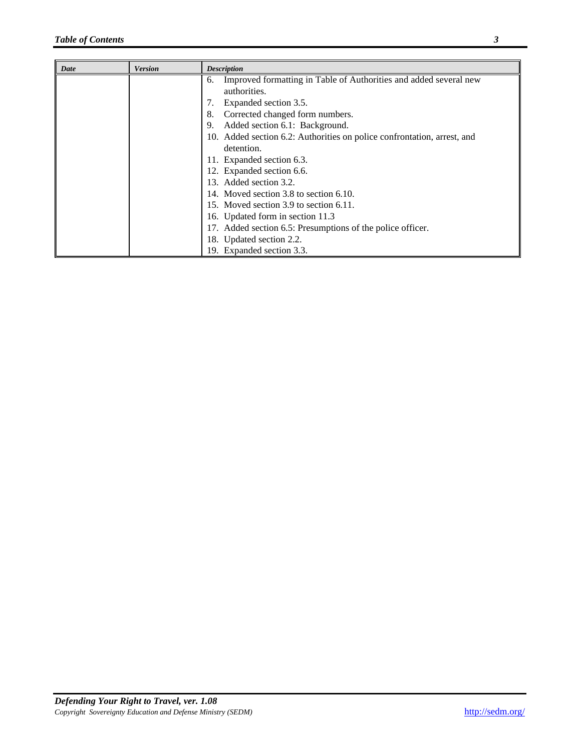| Date | <b>Version</b> | <b>Description</b>                                                                      |
|------|----------------|-----------------------------------------------------------------------------------------|
|      |                | Improved formatting in Table of Authorities and added several new<br>6.<br>authorities. |
|      |                | Expanded section 3.5.<br>7.                                                             |
|      |                | Corrected changed form numbers.<br>8.                                                   |
|      |                | Added section 6.1: Background.<br>9.                                                    |
|      |                | 10. Added section 6.2: Authorities on police confrontation, arrest, and                 |
|      |                | detention.                                                                              |
|      |                | 11. Expanded section 6.3.                                                               |
|      |                | 12. Expanded section 6.6.                                                               |
|      |                | 13. Added section 3.2.                                                                  |
|      |                | 14. Moved section 3.8 to section 6.10.                                                  |
|      |                | 15. Moved section 3.9 to section 6.11.                                                  |
|      |                | 16. Updated form in section 11.3                                                        |
|      |                | 17. Added section 6.5: Presumptions of the police officer.                              |
|      |                | 18. Updated section 2.2.                                                                |
|      |                | 19. Expanded section 3.3.                                                               |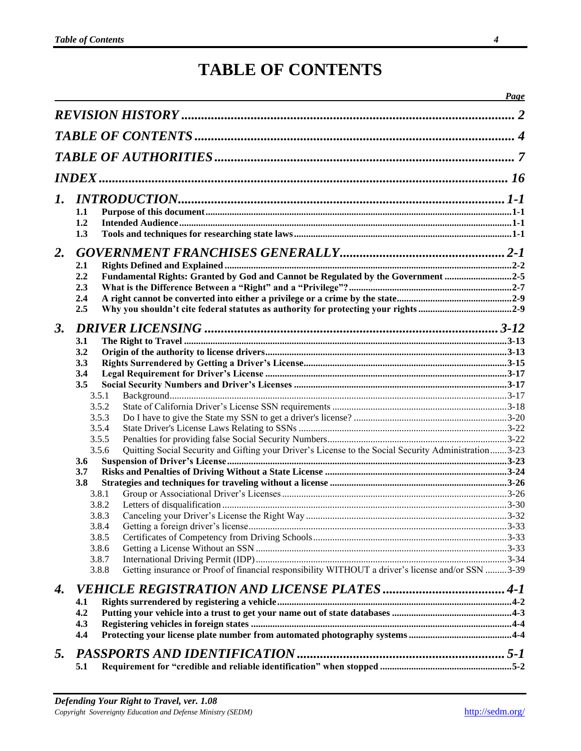### **TABLE OF CONTENTS**

<span id="page-4-0"></span>

|    |     |                                                                                                               | Page |
|----|-----|---------------------------------------------------------------------------------------------------------------|------|
|    |     |                                                                                                               |      |
|    |     |                                                                                                               |      |
|    |     |                                                                                                               |      |
|    |     |                                                                                                               |      |
| 1. |     |                                                                                                               |      |
|    | 1.1 |                                                                                                               |      |
|    | 1.2 |                                                                                                               |      |
|    | 1.3 |                                                                                                               |      |
| 2. |     |                                                                                                               |      |
|    | 2.1 |                                                                                                               |      |
|    | 2.2 | Fundamental Rights: Granted by God and Cannot be Regulated by the Government 2-5                              |      |
|    | 2.3 |                                                                                                               |      |
|    | 2.4 |                                                                                                               |      |
|    | 2.5 |                                                                                                               |      |
| 3. |     |                                                                                                               |      |
|    | 3.1 |                                                                                                               |      |
|    | 3.2 |                                                                                                               |      |
|    | 3.3 |                                                                                                               |      |
|    | 3.4 |                                                                                                               |      |
|    | 3.5 |                                                                                                               |      |
|    |     | 3.5.1                                                                                                         |      |
|    |     | 3.5.2                                                                                                         |      |
|    |     | 3.5.3<br>3.5.4                                                                                                |      |
|    |     | 3.5.5                                                                                                         |      |
|    |     | Quitting Social Security and Gifting your Driver's License to the Social Security Administration3-23<br>3.5.6 |      |
|    | 3.6 |                                                                                                               |      |
|    | 3.7 |                                                                                                               |      |
|    | 3.8 |                                                                                                               |      |
|    |     | 3.8.1                                                                                                         |      |
|    |     | 3.8.2                                                                                                         |      |
|    |     | 3.8.3                                                                                                         |      |
|    |     | 3.8.4                                                                                                         |      |
|    |     | 3.8.5                                                                                                         |      |
|    |     | 3.8.6                                                                                                         |      |
|    |     | 3.8.7                                                                                                         |      |
|    |     | Getting insurance or Proof of financial responsibility WITHOUT a driver's license and/or SSN 3-39<br>3.8.8    |      |
| 4. |     |                                                                                                               |      |
|    | 4.1 |                                                                                                               |      |
|    | 4.2 |                                                                                                               |      |
|    | 4.3 |                                                                                                               |      |
|    | 4.4 |                                                                                                               |      |
| 5. |     |                                                                                                               |      |
|    | 5.1 |                                                                                                               |      |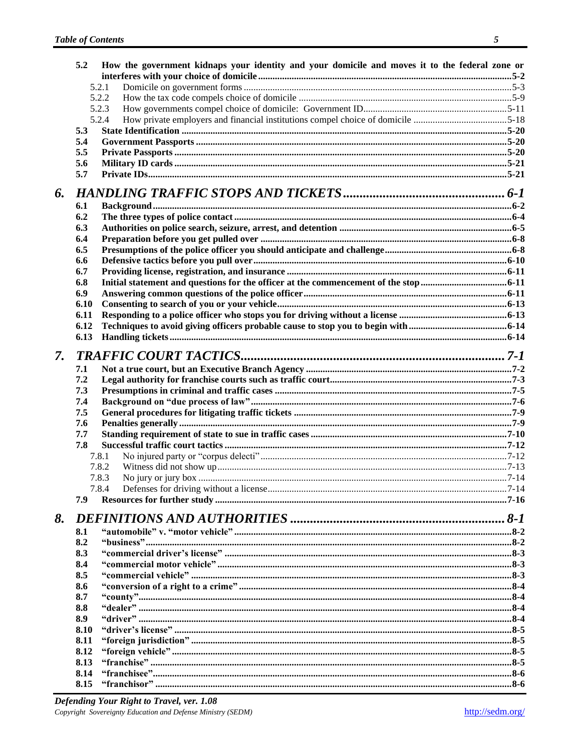|    | 5.2  | How the government kidnaps your identity and your domicile and moves it to the federal zone or |  |
|----|------|------------------------------------------------------------------------------------------------|--|
|    |      |                                                                                                |  |
|    |      | 5.2.1                                                                                          |  |
|    |      | 5.2.2                                                                                          |  |
|    |      | 5.2.3                                                                                          |  |
|    |      | 5.2.4                                                                                          |  |
|    | 5.3  |                                                                                                |  |
|    | 5.4  |                                                                                                |  |
|    | 5.5  |                                                                                                |  |
|    | 5.6  |                                                                                                |  |
|    | 5.7  |                                                                                                |  |
| 6. |      |                                                                                                |  |
|    | 6.1  |                                                                                                |  |
|    | 6.2  |                                                                                                |  |
|    | 6.3  |                                                                                                |  |
|    | 6.4  |                                                                                                |  |
|    | 6.5  |                                                                                                |  |
|    | 6.6  |                                                                                                |  |
|    | 6.7  |                                                                                                |  |
|    | 6.8  |                                                                                                |  |
|    | 6.9  |                                                                                                |  |
|    | 6.10 |                                                                                                |  |
|    | 6.11 |                                                                                                |  |
|    | 6.12 |                                                                                                |  |
|    | 6.13 |                                                                                                |  |
| 7. |      |                                                                                                |  |
|    | 7.1  |                                                                                                |  |
|    | 7.2  |                                                                                                |  |
|    | 7.3  |                                                                                                |  |
|    | 7.4  |                                                                                                |  |
|    | 7.5  |                                                                                                |  |
|    | 7.6  |                                                                                                |  |
|    | 7.7  |                                                                                                |  |
|    | 7.8  |                                                                                                |  |
|    |      | 7.8.1                                                                                          |  |
|    |      | 7.8.2                                                                                          |  |
|    |      | 7.8.3                                                                                          |  |
|    |      | 7.8.4                                                                                          |  |
|    | 7.9  |                                                                                                |  |
|    |      |                                                                                                |  |
| 8. |      |                                                                                                |  |
|    | 8.1  |                                                                                                |  |
|    | 8.2  |                                                                                                |  |
|    | 8.3  |                                                                                                |  |
|    | 8.4  |                                                                                                |  |
|    | 8.5  |                                                                                                |  |
|    | 8.6  |                                                                                                |  |
|    | 8.7  |                                                                                                |  |
|    | 8.8  |                                                                                                |  |
|    | 8.9  |                                                                                                |  |
|    | 8.10 |                                                                                                |  |
|    | 8.11 |                                                                                                |  |
|    | 8.12 |                                                                                                |  |
|    | 8.13 |                                                                                                |  |
|    | 8.14 |                                                                                                |  |
|    | 8.15 |                                                                                                |  |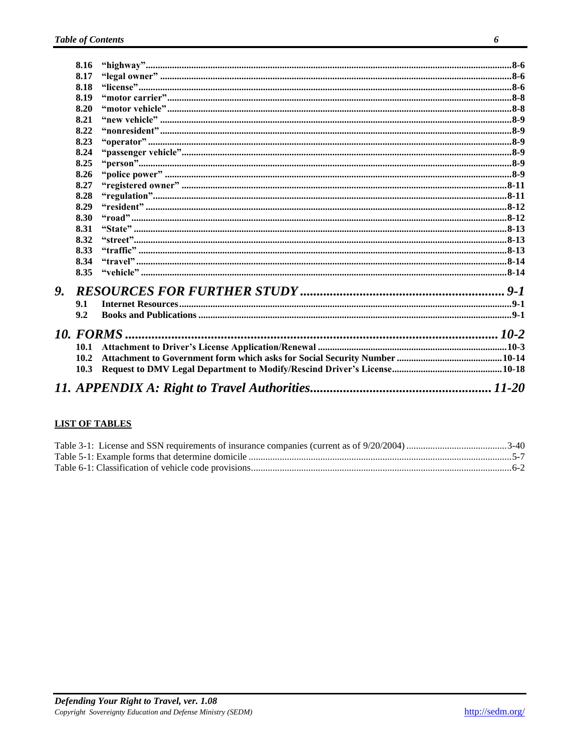|    | 8.16 |  |
|----|------|--|
|    | 8.17 |  |
|    | 8.18 |  |
|    | 8.19 |  |
|    | 8.20 |  |
|    | 8.21 |  |
|    | 8.22 |  |
|    | 8.23 |  |
|    | 8.24 |  |
|    | 8.25 |  |
|    | 8.26 |  |
|    | 8.27 |  |
|    | 8.28 |  |
|    | 8.29 |  |
|    | 8.30 |  |
|    | 8.31 |  |
|    | 8.32 |  |
|    | 8.33 |  |
|    | 8.34 |  |
|    | 8.35 |  |
| 9. |      |  |
|    | 9.1  |  |
|    | 9.2  |  |
|    |      |  |
|    | 10.1 |  |
|    | 10.2 |  |
|    | 10.3 |  |
|    |      |  |
|    |      |  |

### **LIST OF TABLES**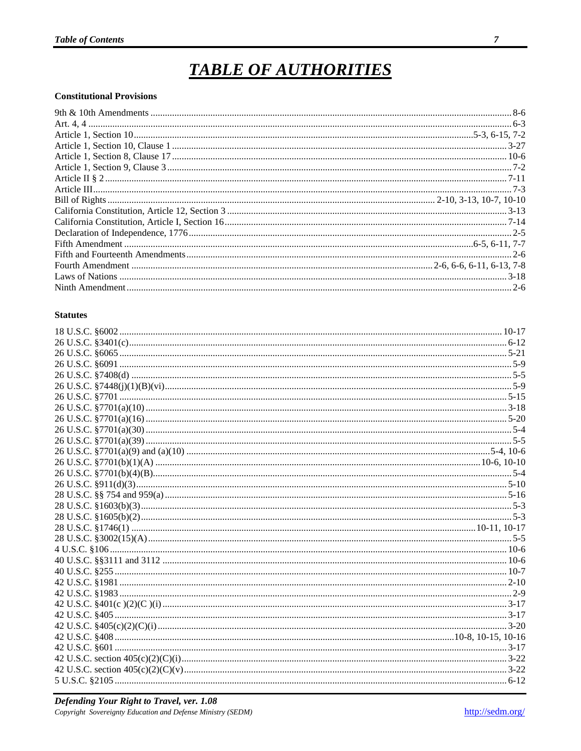# **TABLE OF AUTHORITIES**

#### <span id="page-7-0"></span>**Constitutional Provisions**

#### **Statutes**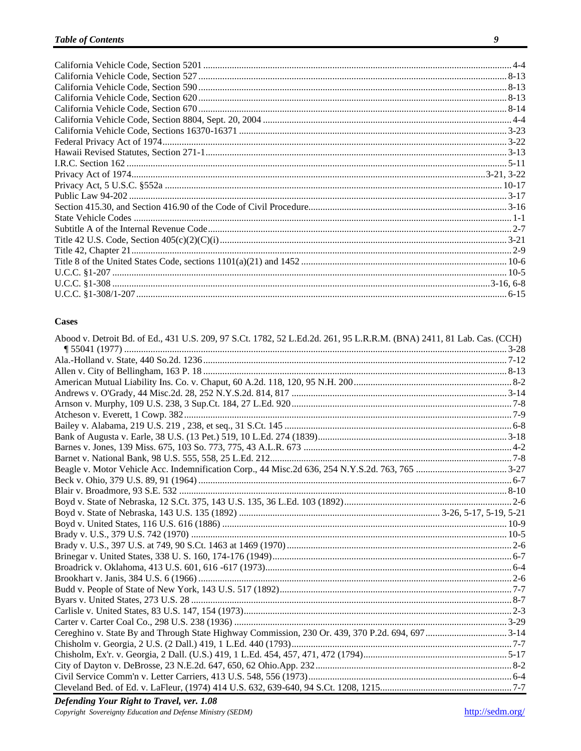#### **Cases**

| Abood v. Detroit Bd. of Ed., 431 U.S. 209, 97 S.Ct. 1782, 52 L.Ed.2d. 261, 95 L.R.R.M. (BNA) 2411, 81 Lab. Cas. (CCH) |  |
|-----------------------------------------------------------------------------------------------------------------------|--|
|                                                                                                                       |  |
|                                                                                                                       |  |
|                                                                                                                       |  |
|                                                                                                                       |  |
|                                                                                                                       |  |
|                                                                                                                       |  |
|                                                                                                                       |  |
|                                                                                                                       |  |
|                                                                                                                       |  |
|                                                                                                                       |  |
|                                                                                                                       |  |
|                                                                                                                       |  |
|                                                                                                                       |  |
|                                                                                                                       |  |
|                                                                                                                       |  |
|                                                                                                                       |  |
|                                                                                                                       |  |
|                                                                                                                       |  |
|                                                                                                                       |  |
|                                                                                                                       |  |
|                                                                                                                       |  |
|                                                                                                                       |  |
|                                                                                                                       |  |
|                                                                                                                       |  |
|                                                                                                                       |  |
|                                                                                                                       |  |
|                                                                                                                       |  |
|                                                                                                                       |  |
|                                                                                                                       |  |
|                                                                                                                       |  |
|                                                                                                                       |  |
|                                                                                                                       |  |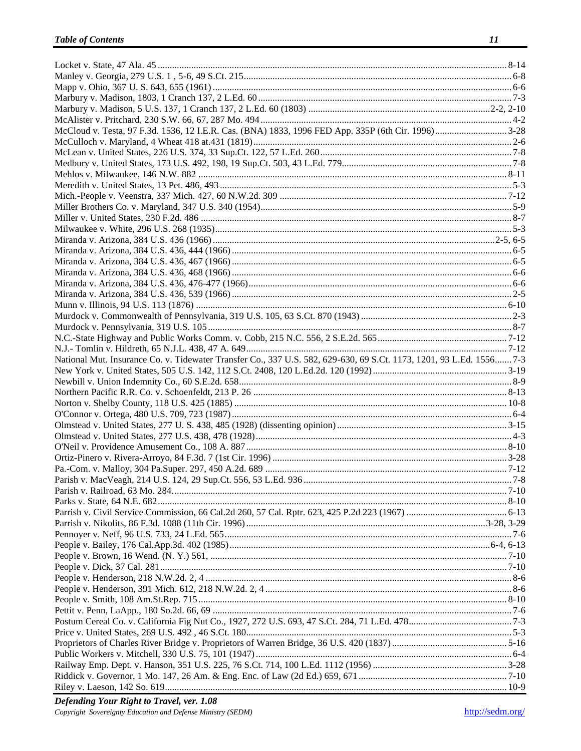| National Mut. Insurance Co. v. Tidewater Transfer Co., 337 U.S. 582, 629-630, 69 S.Ct. 1173, 1201, 93 L.Ed. 1556 7-3 |  |
|----------------------------------------------------------------------------------------------------------------------|--|
|                                                                                                                      |  |
|                                                                                                                      |  |
|                                                                                                                      |  |
|                                                                                                                      |  |
|                                                                                                                      |  |
|                                                                                                                      |  |
|                                                                                                                      |  |
|                                                                                                                      |  |
|                                                                                                                      |  |
|                                                                                                                      |  |
|                                                                                                                      |  |
|                                                                                                                      |  |
|                                                                                                                      |  |
|                                                                                                                      |  |
|                                                                                                                      |  |
|                                                                                                                      |  |
|                                                                                                                      |  |
|                                                                                                                      |  |
|                                                                                                                      |  |
|                                                                                                                      |  |
|                                                                                                                      |  |
|                                                                                                                      |  |
|                                                                                                                      |  |
|                                                                                                                      |  |
|                                                                                                                      |  |
|                                                                                                                      |  |
|                                                                                                                      |  |
|                                                                                                                      |  |
|                                                                                                                      |  |
|                                                                                                                      |  |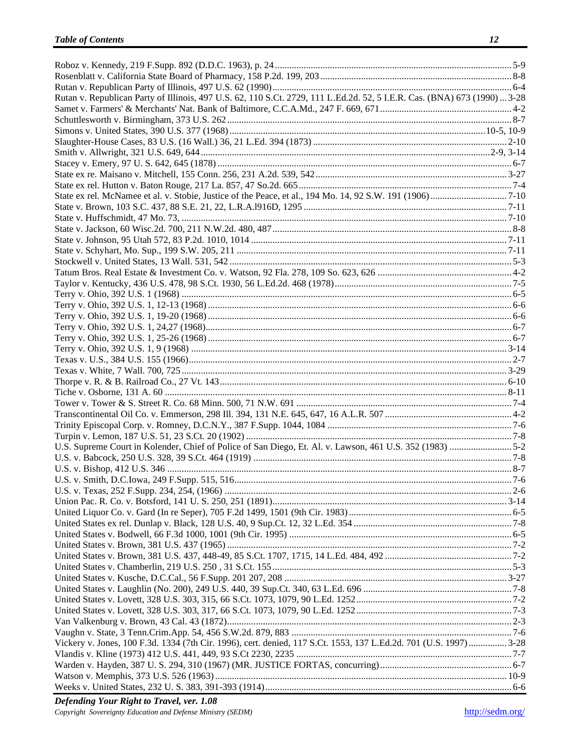| Rutan v. Republican Party of Illinois, 497 U.S. 62, 110 S.Ct. 2729, 111 L.Ed.2d. 52, 5 I.E.R. Cas. (BNA) 673 (1990)  3-28 |  |
|---------------------------------------------------------------------------------------------------------------------------|--|
|                                                                                                                           |  |
|                                                                                                                           |  |
|                                                                                                                           |  |
|                                                                                                                           |  |
|                                                                                                                           |  |
|                                                                                                                           |  |
|                                                                                                                           |  |
|                                                                                                                           |  |
|                                                                                                                           |  |
|                                                                                                                           |  |
|                                                                                                                           |  |
|                                                                                                                           |  |
|                                                                                                                           |  |
|                                                                                                                           |  |
|                                                                                                                           |  |
|                                                                                                                           |  |
|                                                                                                                           |  |
|                                                                                                                           |  |
|                                                                                                                           |  |
|                                                                                                                           |  |
|                                                                                                                           |  |
|                                                                                                                           |  |
|                                                                                                                           |  |
|                                                                                                                           |  |
|                                                                                                                           |  |
|                                                                                                                           |  |
|                                                                                                                           |  |
|                                                                                                                           |  |
|                                                                                                                           |  |
|                                                                                                                           |  |
|                                                                                                                           |  |
|                                                                                                                           |  |
|                                                                                                                           |  |
|                                                                                                                           |  |
| U.S. v. Smith, D.C.Iowa, 249 F.Supp. 515, 516                                                                             |  |
|                                                                                                                           |  |
|                                                                                                                           |  |
|                                                                                                                           |  |
|                                                                                                                           |  |
|                                                                                                                           |  |
|                                                                                                                           |  |
|                                                                                                                           |  |
|                                                                                                                           |  |
|                                                                                                                           |  |
|                                                                                                                           |  |
|                                                                                                                           |  |
|                                                                                                                           |  |
|                                                                                                                           |  |
| Vickery v. Jones, 100 F.3d. 1334 (7th Cir. 1996), cert. denied, 117 S.Ct. 1553, 137 L.Ed.2d. 701 (U.S. 1997)  3-28        |  |
|                                                                                                                           |  |
|                                                                                                                           |  |
|                                                                                                                           |  |
|                                                                                                                           |  |
|                                                                                                                           |  |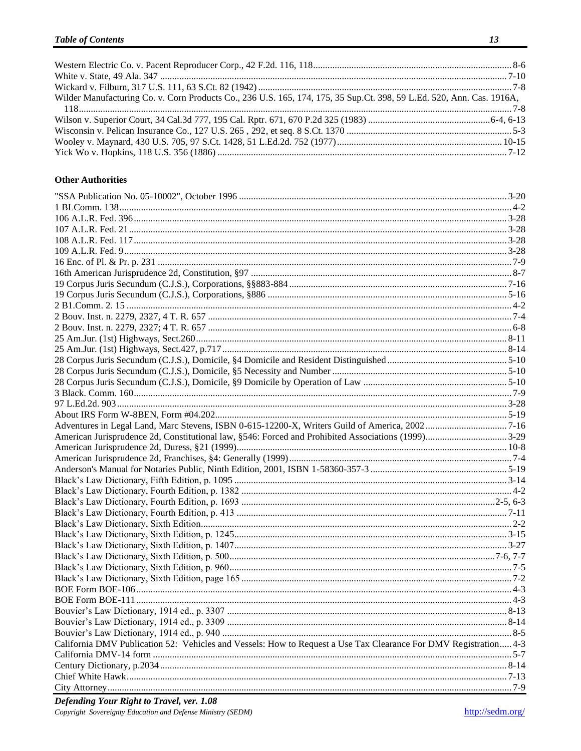| Wilder Manufacturing Co. v. Corn Products Co., 236 U.S. 165, 174, 175, 35 Sup.Ct. 398, 59 L.Ed. 520, Ann. Cas. 1916A, |  |
|-----------------------------------------------------------------------------------------------------------------------|--|
|                                                                                                                       |  |
|                                                                                                                       |  |
|                                                                                                                       |  |
|                                                                                                                       |  |
|                                                                                                                       |  |

#### **Other Authorities**

| California DMV Publication 52: Vehicles and Vessels: How to Request a Use Tax Clearance For DMV Registration 4-3 |  |
|------------------------------------------------------------------------------------------------------------------|--|
|                                                                                                                  |  |
|                                                                                                                  |  |
|                                                                                                                  |  |
|                                                                                                                  |  |
|                                                                                                                  |  |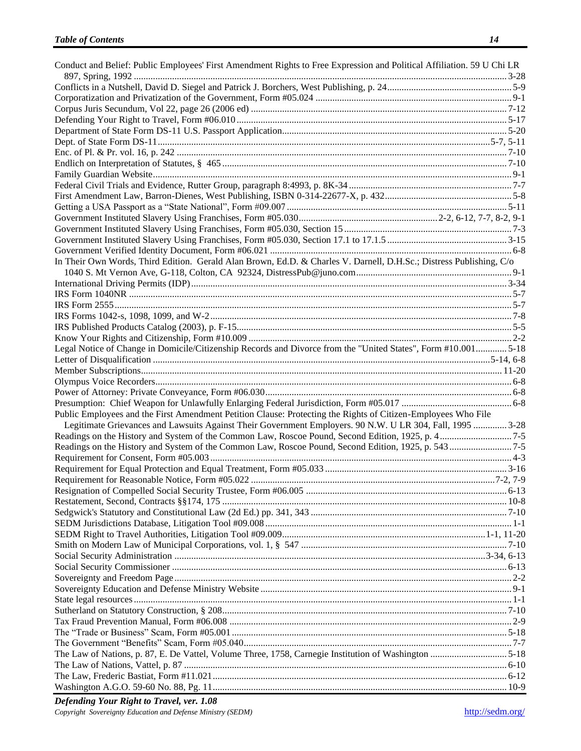| Conduct and Belief: Public Employees' First Amendment Rights to Free Expression and Political Affiliation. 59 U Chi LR |  |
|------------------------------------------------------------------------------------------------------------------------|--|
|                                                                                                                        |  |
|                                                                                                                        |  |
|                                                                                                                        |  |
|                                                                                                                        |  |
|                                                                                                                        |  |
|                                                                                                                        |  |
|                                                                                                                        |  |
|                                                                                                                        |  |
|                                                                                                                        |  |
|                                                                                                                        |  |
|                                                                                                                        |  |
|                                                                                                                        |  |
|                                                                                                                        |  |
|                                                                                                                        |  |
|                                                                                                                        |  |
|                                                                                                                        |  |
|                                                                                                                        |  |
| In Their Own Words, Third Edition. Gerald Alan Brown, Ed.D. & Charles V. Darnell, D.H.Sc.; Distress Publishing, C/o    |  |
|                                                                                                                        |  |
|                                                                                                                        |  |
|                                                                                                                        |  |
|                                                                                                                        |  |
|                                                                                                                        |  |
|                                                                                                                        |  |
| Legal Notice of Change in Domicile/Citizenship Records and Divorce from the "United States", Form #10.001 5-18         |  |
|                                                                                                                        |  |
|                                                                                                                        |  |
|                                                                                                                        |  |
|                                                                                                                        |  |
|                                                                                                                        |  |
| Public Employees and the First Amendment Petition Clause: Protecting the Rights of Citizen-Employees Who File          |  |
| Legitimate Grievances and Lawsuits Against Their Government Employers. 90 N.W. U LR 304, Fall, 1995  3-28              |  |
|                                                                                                                        |  |
|                                                                                                                        |  |
|                                                                                                                        |  |
|                                                                                                                        |  |
|                                                                                                                        |  |
|                                                                                                                        |  |
|                                                                                                                        |  |
|                                                                                                                        |  |
|                                                                                                                        |  |
|                                                                                                                        |  |
|                                                                                                                        |  |
|                                                                                                                        |  |
|                                                                                                                        |  |
|                                                                                                                        |  |
|                                                                                                                        |  |
|                                                                                                                        |  |
|                                                                                                                        |  |
|                                                                                                                        |  |
|                                                                                                                        |  |
|                                                                                                                        |  |
| The Law of Nations, p. 87, E. De Vattel, Volume Three, 1758, Carnegie Institution of Washington 5-18                   |  |
|                                                                                                                        |  |
|                                                                                                                        |  |
|                                                                                                                        |  |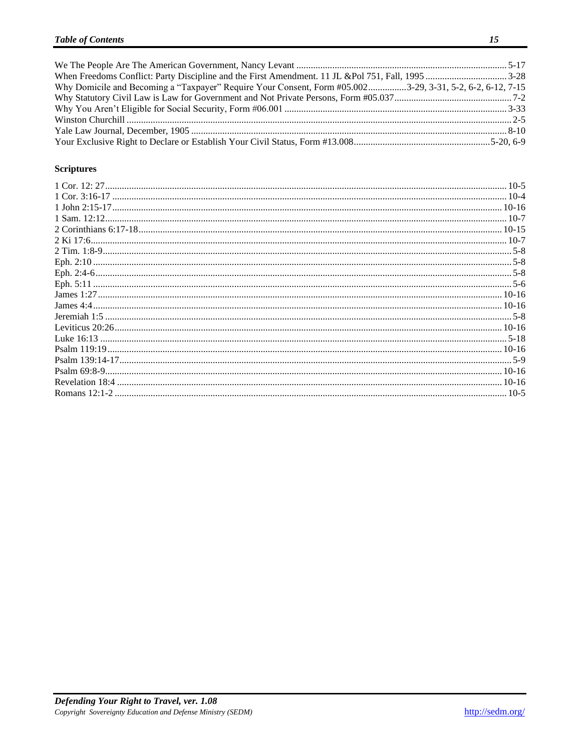| Why Domicile and Becoming a "Taxpayer" Require Your Consent, Form #05.0023-29, 3-31, 5-2, 6-2, 6-12, 7-15 |  |
|-----------------------------------------------------------------------------------------------------------|--|
|                                                                                                           |  |
|                                                                                                           |  |
|                                                                                                           |  |
|                                                                                                           |  |
|                                                                                                           |  |

### **Scriptures**

| $10-5$ |
|--------|
|        |
|        |
|        |
|        |
|        |
|        |
|        |
|        |
|        |
|        |
|        |
|        |
|        |
|        |
|        |
|        |
|        |
|        |
| $10-5$ |
|        |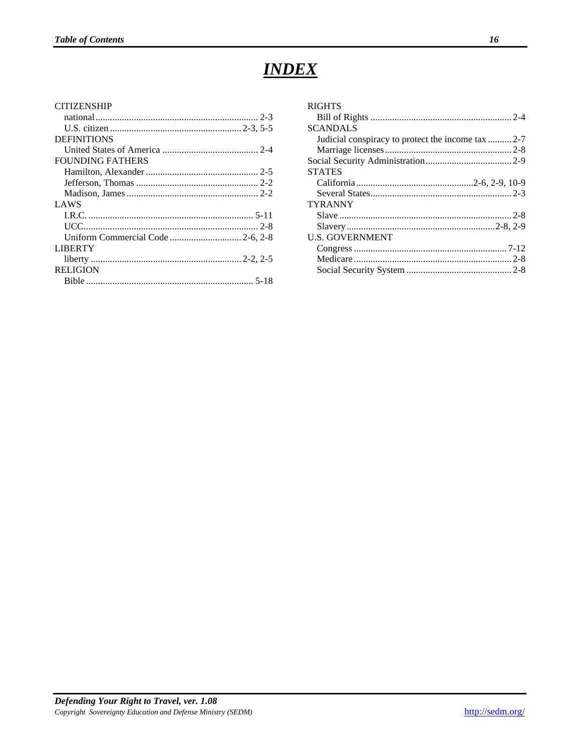### *INDEX*

<span id="page-16-0"></span>

| <b>CITIZENSHIP</b>      |  |
|-------------------------|--|
|                         |  |
|                         |  |
| <b>DEFINITIONS</b>      |  |
|                         |  |
| <b>FOUNDING FATHERS</b> |  |
|                         |  |
|                         |  |
|                         |  |
| <b>LAWS</b>             |  |
|                         |  |
|                         |  |
|                         |  |
| <b>LIBERTY</b>          |  |
|                         |  |
| <b>RELIGION</b>         |  |
|                         |  |
|                         |  |

| <b>RIGHTS</b>                                      |  |
|----------------------------------------------------|--|
|                                                    |  |
| <b>SCANDALS</b>                                    |  |
| Judicial conspiracy to protect the income tax  2-7 |  |
|                                                    |  |
|                                                    |  |
| <b>STATES</b>                                      |  |
|                                                    |  |
|                                                    |  |
| <b>TYRANNY</b>                                     |  |
|                                                    |  |
|                                                    |  |
| <b>U.S. GOVERNMENT</b>                             |  |
|                                                    |  |
|                                                    |  |
|                                                    |  |
|                                                    |  |